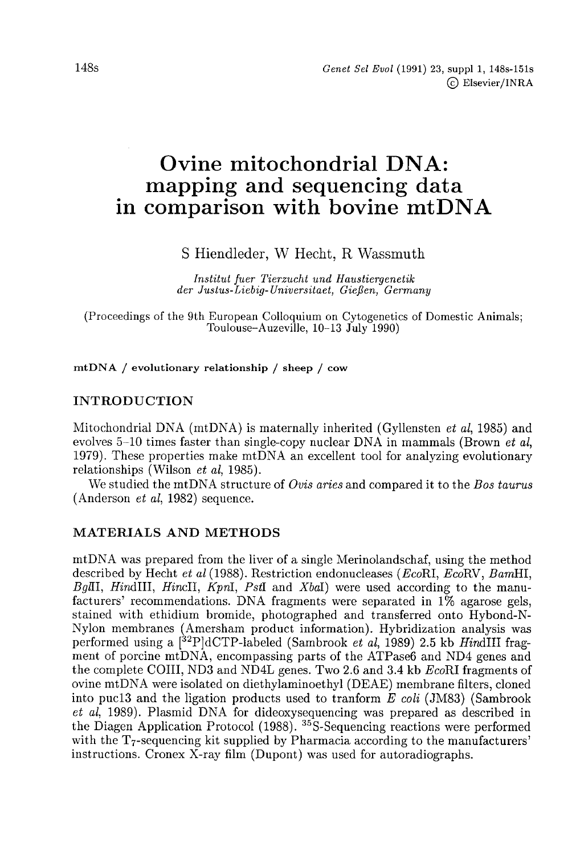# Ovine mitochondrial DNA: mapping and sequencing data in comparison with bovine mtDNA

S Hiendleder, W Hecht, R Wassmuth

Institut fuer Tierzucht und Haustiergenetik der Justus-Liebig-Universitaet, Gießen, Germany

(Proceedings of the 9th European Colloquium on Cytogenetics of Domestic Animals; Toulouse-Auzeville, 10-13 July 1990)

mtDNA / evolutionary relationship / sheep / cow

## INTRODUCTION

Mitochondrial DNA (mtDNA) is maternally inherited (Gyllensten et al, 1985) and evolves  $5-10$  times faster than single-copy nuclear DNA in mammals (Brown *et al.*) 1979). These properties make mtDNA an excellent tool for analyzing evolutionary relationships (Wilson et al, 1985).

We studied the mtDNA structure of Ovis aries and compared it to the Bos taurus (Anderson et al, 1982) sequence.

#### MATERIALS AND METHODS

mtDNA was prepared from the liver of a single Merinolandschaf, using the method described by Hecht et al (1988). Restriction endonucleases (EcoRI, EcoRV, BamHI,  $BgII, HindIII, HincII, KpnI, PstI and XbaI$  were used according to the manufacturers' recommendations. DNA fragments were separated in 1% agarose gels, stained with ethidium bromide, photographed and transferred onto Hybond-N-Nylon membranes (Amersham product information). Hybridization analysis was performed using a  $[^{32}P]dCTP$ -labeled (Sambrook *et al*, 1989) 2.5 kb *HindIII* frag-**MATERIALS AND METHODS**<br>mtDNA was prepared from the liver of a single Merinolandschaf, using the method<br>described by Hecht *et al* (1988). Restriction endonucleases (*Eco*RI, *Eco*RV, *Bam*HI,<br>*BgIII*, *HindIII*, *HincIII* the complete COIII, ND3 and ND4L genes. Two 2.6 and 3.4 kb EcoRI fragments of ovine mtDNA were isolated on diethylaminoethyl (DEAE) membrane filters, cloned into pucl3 and the ligation products used to tranform  $E$  coli (JM83) (Sambrook et al, 1989). Plasmid DNA for dideoxysequencing was prepared as described in ovine mtDNA were isolated on diethylaminoethyl (DEAE) membrane filters, cloned<br>into puc13 and the ligation products used to tranform E coli (JM83) (Sambrook<br>et al, 1989). Plasmid DNA for dideoxysequencing was prepared as periormed using a  $\lfloor$   $\lfloor$   $\rfloor$   $\lfloor$   $\lfloor$   $\lfloor$   $\lfloor$   $\lfloor$   $\rfloor$   $\lfloor$   $\rfloor$   $\lfloor$   $\lfloor$   $\lfloor$   $\rfloor$   $\lfloor$   $\lfloor$   $\rfloor$   $\lfloor$   $\lfloor$   $\lfloor$   $\lfloor$   $\lfloor$   $\lfloor$   $\lfloor$   $\lfloor$   $\lfloor$   $\lfloor$   $\lfloor$   $\lfloor$   $\lfloor$   $\lfloor$   $\lfloor$   $\lfloor$ instructions. Cronex X-ray film (Dupont) was used for autoradiographs.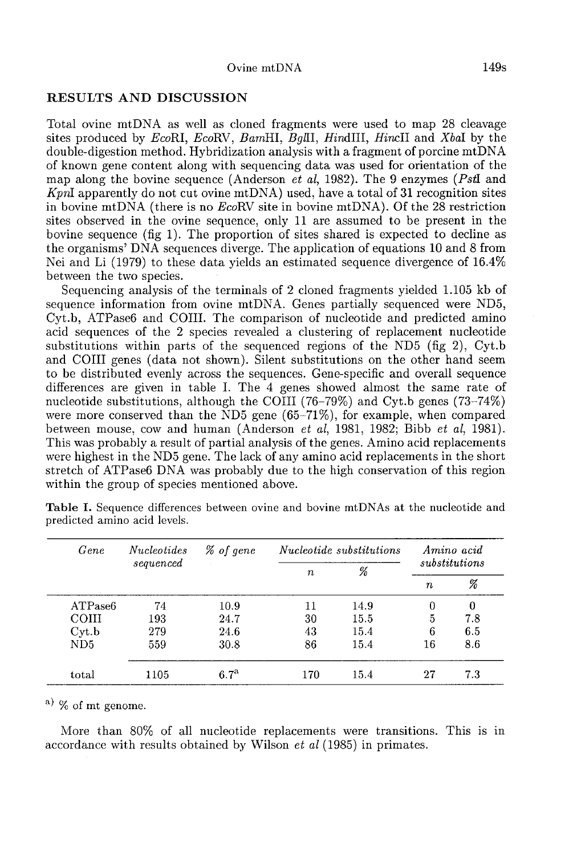#### RESULTS AND DISCUSSION

Total ovine mtDNA as well as cloned fragments were used to map 28 cleavage sites produced by EcoRI, EcoRV, BamHI, BgIII, HindIII, HincII and XbaI by the double-digestion method. Hybridization analysis with a fragment of porcine mtDNA of known gene content along with sequencing data was used for orientation of the map along the bovine sequence (Anderson *et al*, 1982). The 9 enzymes (PstI and of known gene content along with sequencing data was used for orientation of the<br>map along the bovine sequence (Anderson *et al*, 1982). The 9 enzymes (*PstI* and<br>*KpnI* apparently do not cut ovine mtDNA) used, have a tot in bovine mtDNA (there is no EcoRV site in bovine mtDNA). Of the 28 restriction sites observed in the ovine sequence, only 11 are assumed to be present in the bovine sequence (fig 1). The proportion of sites shared is expected to decline as the organisms' DNA sequences diverge. The application of equations 10 and 8 from Nei and Li (1979) to these data yields an estimated sequence divergence of 16.4% between the two species.

Sequencing analysis of the terminals of 2 cloned fragments yielded 1.105 kb of sequence information from ovine mtDNA. Genes partially sequenced were ND5, Cyt.b, ATPase6 and COIII. The comparison of nucleotide and predicted amino acid sequences of the 2 species revealed a clustering of replacement nucleotide substitutions within parts of the sequenced regions of the ND5 (fig 2), Cyt.b and COIII genes (data not shown). Silent substitutions on the other hand seem to be distributed evenly across the sequences. Gene-specific and overall sequence differences are given in table I. The 4 genes showed almost the same rate of nucleotide substitutions, although the COIII (76–79%) and Cyt.b genes (73–74%) were more conserved than the  $ND5$  gene (65-71%), for example, when compared between mouse, cow and human (Anderson *et al*, 1981, 1982; Bibb *et al*, 1981).<br>This was probably a result of partial analysis of the genes. Amino acid replacements were highest in the ND5 gene. The lack of any amino acid replacements in the short stretch of ATPase6 DNA was probably due to the high conservation of this region within the group of species mentioned above.

|  | Gene    | <i>Nucleotides</i><br>sequenced | % of gene        | <i>Nucleotide substitutions</i> |      | Amino acid       |     |  |
|--|---------|---------------------------------|------------------|---------------------------------|------|------------------|-----|--|
|  |         |                                 |                  | $\boldsymbol{n}$                | %    | substitutions    |     |  |
|  |         |                                 |                  |                                 |      | $\boldsymbol{n}$ | X   |  |
|  | ATPase6 | 74                              | 10.9             | 11                              | 14.9 | 0                | 0   |  |
|  | COIII   | 193                             | 24.7             | 30                              | 15.5 | 5                | 7.8 |  |
|  | Cyt.b   | 279                             | 24.6             | 43                              | 15.4 | 6                | 6.5 |  |
|  | ND5     | 559                             | 30.8             | 86                              | 15.4 | 16               | 8.6 |  |
|  | total   | 1105                            | 6.7 <sup>a</sup> | 170                             | 15.4 | 27               | 7.3 |  |

Table I. Sequence differences between ovine and bovine mtDNAs at the nucleotide and predicted amino acid levels.

 $a)$  % of mt genome.

More than 80% of all nucleotide replacements were transitions. This is in accordance with results obtained by Wilson et al (1985) in primates.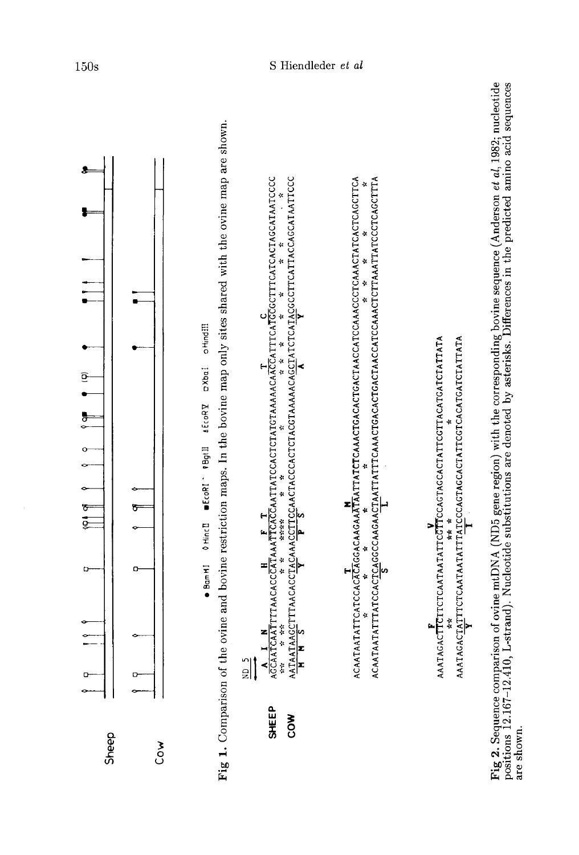

Fig 2. Sequence comparison of ovine mtDNA (ND5 gene region) with the corresponding bovine sequence (Anderson *et al*, 1982; nucleotide positions 12.167-12.410, L-strand). Nucleotide substitutions are denoted by asterisks. are shown.